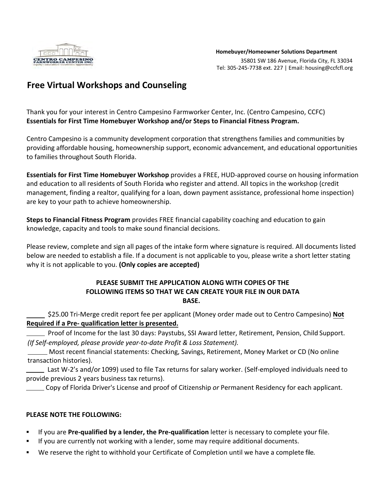

## **Free Virtual Workshops and Counseling**

Thank you for your interest in Centro Campesino Farmworker Center, Inc. (Centro Campesino, CCFC) **Essentials for First Time Homebuyer Workshop and/or Steps to Financial Fitness Program.** 

Centro Campesino is a community development corporation that strengthens families and communities by providing affordable housing, homeownership support, economic advancement, and educational opportunities to families throughout South Florida.

**Essentials for First Time Homebuyer Workshop** provides a FREE, HUD-approved course on housing information and education to all residents of South Florida who register and attend. All topics in the workshop (credit management, finding a realtor, qualifying for a loan, down payment assistance, professional home inspection) are key to your path to achieve homeownership.

**Steps to Financial Fitness Program** provides FREE financial capability coaching and education to gain knowledge, capacity and tools to make sound financial decisions.

Please review, complete and sign all pages of the intake form where signature is required. All documents listed below are needed to establish a file. If a document is not applicable to you, please write a short letter stating why it is not applicable to you. **(Only copies are accepted)** 

#### **PLEASE SUBMIT THE APPLICATION ALONG WITH COPIES OF THE FOLLOWING ITEMS SO THAT WE CAN CREATE YOUR FILE IN OUR DATA BASE.**

\$25.00 Tri-Merge credit report fee per applicant (Money order made out to Centro Campesino) **Not Required if a Pre- qualification letter is presented.**

Proof of Income for the last 30 days: Paystubs, SSI Award letter, Retirement, Pension, Child Support. *(If Self-employed, please provide year-to-date Profit & Loss Statement).*

Most recent financial statements: Checking, Savings, Retirement, Money Market or CD (No online transaction histories).

 Last W-2's and/or 1099) used to file Tax returns for salary worker. (Self-employed individuals need to provide previous 2 years business tax returns).

Copy of Florida Driver's License and proof of Citizenship *or* Permanent Residency for each applicant.

### **PLEASE NOTE THE FOLLOWING:**

- If you are **Pre-qualified by a lender, the Pre-qualification** letter is necessary to complete your file.
- **■** If you are currently not working with a lender, some may require additional documents.
- We reserve the right to withhold your Certificate of Completion until we have a complete file.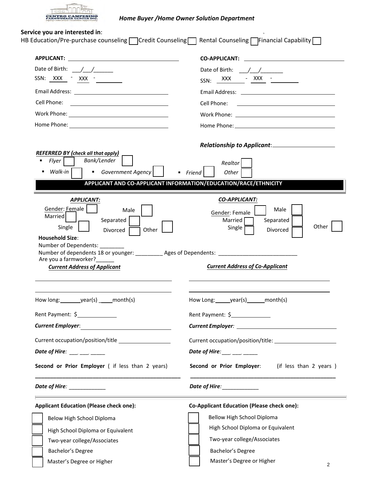

## *Home Buyer /Home Owner Solution Department*

## **Service you are interested in**:

| <b>APPLICANT:</b><br><u> 1989 - Andrea Barbara, poeta espainiar político e a contrar a contrar a contrar a contrar a contrar a contra</u>                                                                                                                                                                                                                                              | <b>CO-APPLICANT:</b><br>and the company of the company                                                                                                                                                                               |
|----------------------------------------------------------------------------------------------------------------------------------------------------------------------------------------------------------------------------------------------------------------------------------------------------------------------------------------------------------------------------------------|--------------------------------------------------------------------------------------------------------------------------------------------------------------------------------------------------------------------------------------|
| Date of Birth: $/$ /                                                                                                                                                                                                                                                                                                                                                                   |                                                                                                                                                                                                                                      |
| SSN: XXX - XXX -                                                                                                                                                                                                                                                                                                                                                                       | SSN: XXX - XXX - XXX                                                                                                                                                                                                                 |
|                                                                                                                                                                                                                                                                                                                                                                                        |                                                                                                                                                                                                                                      |
| Cell Phone:<br><u> 1989 - Johann Stein, fransk politik (d. 1989)</u>                                                                                                                                                                                                                                                                                                                   | Cell Phone:                                                                                                                                                                                                                          |
|                                                                                                                                                                                                                                                                                                                                                                                        |                                                                                                                                                                                                                                      |
| Home Phone: <u>__________________________</u>                                                                                                                                                                                                                                                                                                                                          | Home Phone: The Contract of the Contract of the Contract of the Contract of the Contract of the Contract of the Contract of the Contract of the Contract of the Contract of the Contract of the Contract of the Contract of th       |
| <b>REFERRED BY (check all that apply)</b><br>Bank/Lender<br>$\blacksquare$                                                                                                                                                                                                                                                                                                             |                                                                                                                                                                                                                                      |
| Flyer  <br>Walk-in<br>Government Agency                                                                                                                                                                                                                                                                                                                                                | Realtor<br>$•$ Friend<br>Other                                                                                                                                                                                                       |
|                                                                                                                                                                                                                                                                                                                                                                                        | APPLICANT AND CO-APPLICANT INFORMATION/EDUCATION/RACE/ETHNICITY                                                                                                                                                                      |
| <b>APPLICANT:</b><br>Gender: Female<br>Male<br><b>Married</b><br>Separated<br>Single<br>Other<br>Divorced<br><b>Household Size:</b><br>Number of Dependents: ________                                                                                                                                                                                                                  | <b>CO-APPLICANT:</b><br>Male<br>Gender: Female<br>Married<br>Separated<br>Other<br>Single<br>Divorced                                                                                                                                |
| Number of dependents 18 or younger: __________ Ages of Dependents: _________________________________<br>Are you a farmworker?<br><b>Current Address of Applicant</b>                                                                                                                                                                                                                   | <b>Current Address of Co-Applicant</b>                                                                                                                                                                                               |
| How long: ________ year(s) _____ month(s)                                                                                                                                                                                                                                                                                                                                              | How Long: year(s) month(s)                                                                                                                                                                                                           |
|                                                                                                                                                                                                                                                                                                                                                                                        |                                                                                                                                                                                                                                      |
|                                                                                                                                                                                                                                                                                                                                                                                        |                                                                                                                                                                                                                                      |
|                                                                                                                                                                                                                                                                                                                                                                                        | Rent Payment: \$                                                                                                                                                                                                                     |
|                                                                                                                                                                                                                                                                                                                                                                                        |                                                                                                                                                                                                                                      |
|                                                                                                                                                                                                                                                                                                                                                                                        |                                                                                                                                                                                                                                      |
|                                                                                                                                                                                                                                                                                                                                                                                        | Date of Hire: $\frac{1}{1}$ $\frac{1}{1}$ $\frac{1}{1}$ $\frac{1}{1}$ $\frac{1}{1}$ $\frac{1}{1}$                                                                                                                                    |
|                                                                                                                                                                                                                                                                                                                                                                                        | Date of Hire: <u>New York: New York: New York: New York: New York: New York: New York: New York: New York: New York: New York: New York: New York: New York: New York: New York: New York: New York: New York: New York: New Yor</u> |
|                                                                                                                                                                                                                                                                                                                                                                                        | <b>Co-Applicant Education (Please check one):</b>                                                                                                                                                                                    |
| Below High School Diploma                                                                                                                                                                                                                                                                                                                                                              | Bellow High School Diploma                                                                                                                                                                                                           |
| Rent Payment: \$<br>Current Employer: <u>_______________________</u><br>Current occupation/position/title<br>Second or Prior Employer ( if less than 2 years)<br>Date of Hire: _____________<br><b>Applicant Education (Please check one):</b>                                                                                                                                         | High School Diploma or Equivalent                                                                                                                                                                                                    |
| Date of Hire: $\frac{1}{2}$ $\frac{1}{2}$ $\frac{1}{2}$ $\frac{1}{2}$ $\frac{1}{2}$ $\frac{1}{2}$ $\frac{1}{2}$ $\frac{1}{2}$ $\frac{1}{2}$ $\frac{1}{2}$ $\frac{1}{2}$ $\frac{1}{2}$ $\frac{1}{2}$ $\frac{1}{2}$ $\frac{1}{2}$ $\frac{1}{2}$ $\frac{1}{2}$ $\frac{1}{2}$ $\frac{1}{2}$ $\frac{1}{2}$ $\frac{1}{2$<br>High School Diploma or Equivalent<br>Two-year college/Associates | Second or Prior Employer: (if less than 2 years)<br>Two-year college/Associates                                                                                                                                                      |
| Bachelor's Degree                                                                                                                                                                                                                                                                                                                                                                      | Bachelor's Degree                                                                                                                                                                                                                    |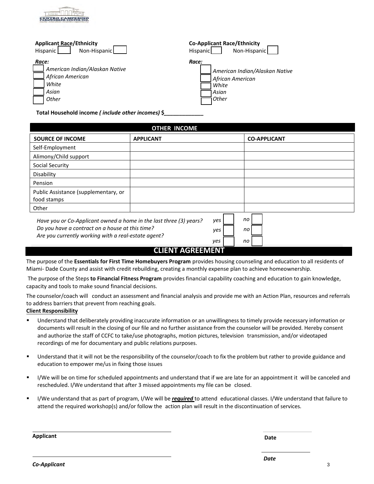# Applicant Race/Ethnicity **Co-Applicant Race/Ethnicity Co-Applicant Race/Ethnicity**

| Non-Hispanic<br>Hispanic                          | Non-Hispanic<br><b>Hispanic</b> |
|---------------------------------------------------|---------------------------------|
| Race:                                             | Race:                           |
| American Indian/Alaskan Native                    | American Indian/Alaskan Native  |
| ⊿ African American                                | African American                |
| White                                             | White                           |
| Asian                                             | Asian                           |
| Other                                             | Other                           |
| Total Household income (include other incomes) \$ |                                 |

**OTHER INCOME**

| UIHER INCUME                                                                                                                                                                 |                              |                   |                     |
|------------------------------------------------------------------------------------------------------------------------------------------------------------------------------|------------------------------|-------------------|---------------------|
| <b>SOURCE OF INCOME</b>                                                                                                                                                      | <b>APPLICANT</b>             |                   | <b>CO-APPLICANT</b> |
| Self-Employment                                                                                                                                                              |                              |                   |                     |
| Alimony/Child support                                                                                                                                                        |                              |                   |                     |
| <b>Social Security</b>                                                                                                                                                       |                              |                   |                     |
| Disability                                                                                                                                                                   |                              |                   |                     |
| Pension                                                                                                                                                                      |                              |                   |                     |
| Public Assistance (supplementary, or<br>food stamps                                                                                                                          |                              |                   |                     |
| Other                                                                                                                                                                        |                              |                   |                     |
| Have you or Co-Applicant owned a home in the last three (3) years?<br>Do you have a contract on a house at this time?<br>Are you currently working with a real-estate agent? |                              | yes<br>yes<br>yes | no<br>no<br>no      |
|                                                                                                                                                                              | CLIENIT A <i>c</i> deenaenit |                   |                     |

## **CLIENT AGREEMENT**

The purpose of the **Essentials for First Time Homebuyers Program** provides housing counseling and education to all residents of Miami- Dade County and assist with credit rebuilding, creating a monthly expense plan to achieve homeownership.

The purpose of the Steps **to Financial Fitness Program** provides financial capability coaching and education to gain knowledge, capacity and tools to make sound financial decisions.

The counselor/coach will conduct an assessment and financial analysis and provide me with an Action Plan, resources and referrals to address barriers that prevent from reaching goals.

#### **Client Responsibility**

- Understand that deliberately providing inaccurate information or an unwillingness to timely provide necessary information or documents will result in the closing of our file and no further assistance from the counselor will be provided. Hereby consent and authorize the staff of CCFC to take/use photographs, motion pictures, television transmission, and/or videotaped recordings of me for documentary and public relations purposes.
- Understand that it will not be the responsibility of the counselor/coach to fix the problem but rather to provide guidance and education to empower me/us in fixing those issues
- I/We will be on time for scheduled appointments and understand that if we are late for an appointment it will be canceled and rescheduled. I/We understand that after 3 missed appointments my file can be closed.
- I/We understand that as part of program, I/We will be *required* to attend educational classes. I/We understand that failure to attend the required workshop(s) and/or follow the action plan will result in the discontinuation of services.

**Applicant Date**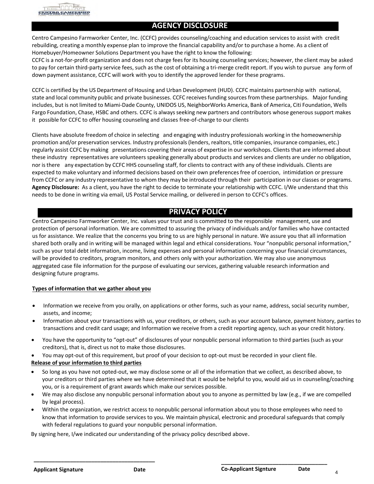

#### **AGENCY DISCLOSURE**

Centro Campesino Farmworker Center, Inc. (CCFC) provides counseling/coaching and education services to assist with credit rebuilding, creating a monthly expense plan to improve the financial capability and/or to purchase a home. As a client of Homebuyer/Homeowner Solutions Department you have the right to know the following:

CCFC is a not-for-profit organization and does not charge feesfor its housing counseling services; however, the client may be asked to pay for certain third-party service fees, such as the cost of obtaining a tri-merge credit report. If you wish to pursue any form of down payment assistance, CCFC will work with you to identify the approved lender for these programs.

CCFC is certified by the US Department of Housing and Urban Development (HUD). CCFC maintains partnership with national, state and local community public and private businesses. CCFC receives funding sources from these partnerships. Major funding includes, but is not limited to Miami-Dade County, UNIDOS US, NeighborWorks America, Bank of America, Citi Foundation, Wells Fargo Foundation, Chase, HSBC and others. CCFC is always seeking new partners and contributors whose generous support makes it possible for CCFC to offer housing counseling and classes free-of-charge to our clients

Clients have absolute freedom of choice in selecting and engaging with industry professionals working in the homeownership promotion and/or preservation services. Industry professionals (lenders, realtors, title companies, insurance companies, etc.) regularly assist CCFC by making presentations covering their areas of expertise in our workshops. Clients that are informed about these industry representatives are volunteers speaking generally about products and services and clients are under no obligation, nor isthere any expectation by CCFC HHS counseling staff, for clients to contract with any of these individuals. Clients are expected to make voluntary and informed decisions based on their own preferences free of coercion, intimidation or pressure from CCFC or any industry representative to whom they may be introduced through their participation in our classes or programs. **Agency Disclosure:** As a client, you have the right to decide to terminate your relationship with CCFC. I/We understand that this needs to be done in writing via email, US Postal Service mailing, or delivered in person to CCFC's offices.

## **PRIVACY POLICY**

Centro Campesino Farmworker Center, Inc. values your trust and is committed to the responsible management, use and protection of personal information. We are committed to assuring the privacy of individuals and/or families who have contacted us for assistance. We realize that the concerns you bring to us are highly personal in nature. We assure you that all information shared both orally and in writing will be managed within legal and ethical considerations. Your "nonpublic personal information," such as your total debt information, income, living expenses and personal information concerning your financial circumstances, will be provided to creditors, program monitors, and others only with your authorization. We may also use anonymous aggregated case file information for the purpose of evaluating our services, gathering valuable research information and designing future programs.

#### **Types of information that we gather about you**

- Information we receive from you orally, on applications or other forms, such as your name, address, social security number, assets, and income;
- Information about your transactions with us, your creditors, or others, such as your account balance, payment history, parties to transactions and credit card usage; and Information we receive from a credit reporting agency, such as your credit history.
- You have the opportunity to "opt-out" of disclosures of your nonpublic personal information to third parties (such as your creditors), that is, direct us not to make those disclosures.
- You may opt-out of this requirement, but proof of your decision to opt-out must be recorded in your client file.

#### **Release of your information to third parties**

**\_\_\_\_\_\_\_\_\_\_\_\_\_\_\_\_\_\_\_\_\_\_\_\_\_\_\_\_\_\_\_\_\_\_\_\_\_\_\_\_** 

- So long as you have not opted-out, we may disclose some or all of the information that we collect, as described above, to your creditors or third parties where we have determined that it would be helpful to you, would aid us in counseling/coaching you, or is a requirement of grant awards which make our services possible.
- We may also disclose any nonpublic personal information about you to anyone as permitted by law (e.g., if we are compelled by legal process).
- Within the organization, we restrict access to nonpublic personal information about you to those employees who need to know that information to provide services to you. We maintain physical, electronic and procedural safeguards that comply with federal regulations to guard your nonpublic personal information.

By signing here, I/we indicated our understanding of the privacy policy described above.

**\_\_\_\_\_\_\_\_\_\_\_\_\_\_\_\_\_\_\_\_\_\_\_\_\_\_\_\_\_\_\_\_\_\_\_**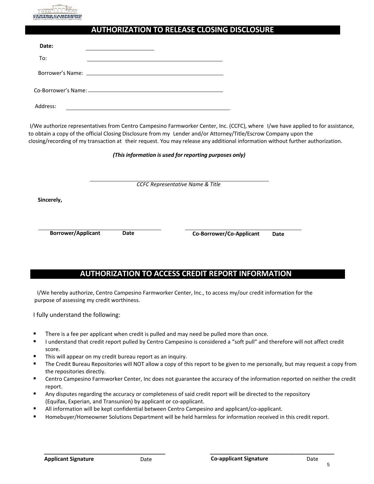

## **AUTHORIZATION TO RELEASE CLOSING DISCLOSURE**

| Date:    |  |
|----------|--|
| To:      |  |
|          |  |
|          |  |
| Address: |  |

 I/We authorize representatives from Centro Campesino Farmworker Center, Inc. (CCFC), where I/we have applied to for assistance, to obtain a copy of the official Closing Disclosure from my Lender and/or Attorney/Title/Escrow Company upon the closing/recording of my transaction at their request. You may release any additional information without further authorization.

*(This information is used for reporting purposes only)*

| CCFC Representative Name & Title |  |  |  |
|----------------------------------|--|--|--|
|----------------------------------|--|--|--|

 **Sincerely,** 

 **Borrower/Applicant Date Co-Borrower/Co-Applicant Date** 

## **AUTHORIZATION TO ACCESS CREDIT REPORT INFORMATION**

I/We hereby authorize, Centro Campesino Farmworker Center, Inc., to access my/our credit information for the purpose of assessing my credit worthiness.

I fully understand the following:

- There is a fee per applicant when credit is pulled and may need be pulled more than once.
- I understand that credit report pulled by Centro Campesino is considered a "soft pull" and therefore will not affect credit score.
- This will appear on my credit bureau report as an inquiry.

**\_\_\_\_\_\_\_\_\_\_\_\_\_\_\_\_\_\_\_\_\_\_\_\_\_\_\_\_\_\_\_\_\_\_\_\_\_\_\_\_** 

- The Credit Bureau Repositories will NOT allow a copy of this report to be given to me personally, but may request a copy from the repositories directly.
- Centro Campesino Farmworker Center, Inc does not guarantee the accuracy of the information reported on neither the credit report.
- Any disputes regarding the accuracy or completeness of said credit report will be directed to the repository (Equifax, Experian, and Transunion) by applicant or co-applicant.
- All information will be kept confidential between Centro Campesino and applicant/co-applicant.
- Homebuyer/Homeowner Solutions Department will be held harmless for information received in this credit report.

**\_\_\_\_\_\_\_\_\_\_\_\_\_\_\_\_\_\_\_\_\_\_\_\_\_\_\_\_\_\_\_\_\_\_\_\_\_\_\_\_\_** 

5